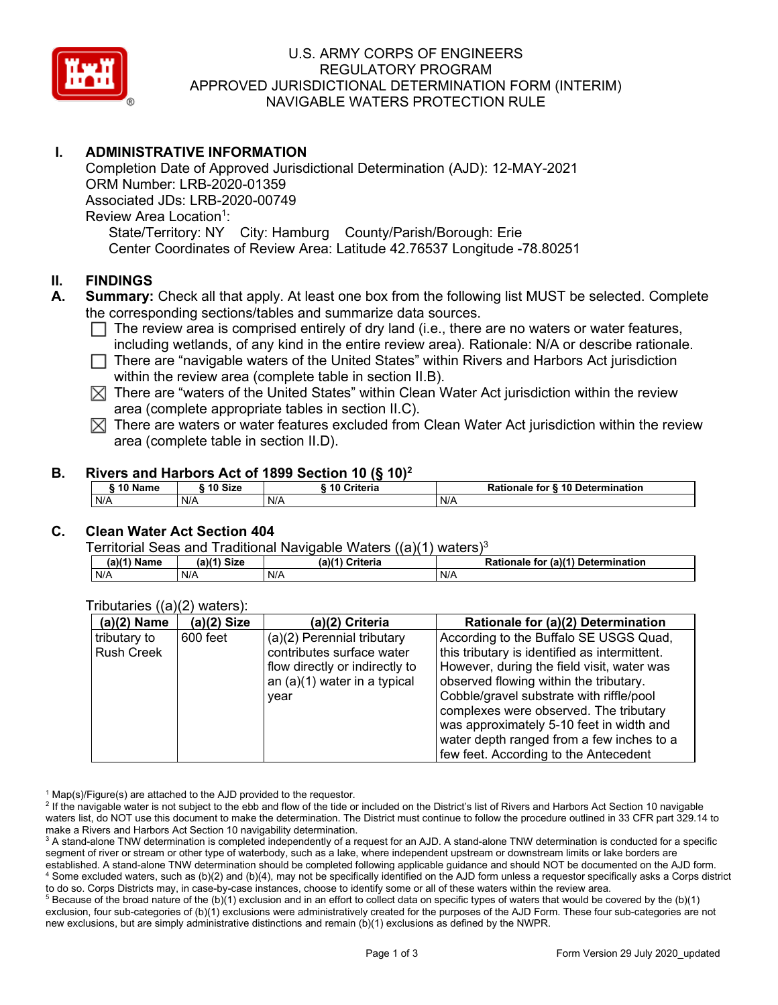

# U.S. ARMY CORPS OF ENGINEERS REGULATORY PROGRAM APPROVED JURISDICTIONAL DETERMINATION FORM (INTERIM) NAVIGABLE WATERS PROTECTION RULE

# **I. ADMINISTRATIVE INFORMATION**

Completion Date of Approved Jurisdictional Determination (AJD): 12-MAY-2021 ORM Number: LRB-2020-01359 Associated JDs: LRB-2020-00749 Review Area Location<sup>1</sup>: State/Territory: NY City: Hamburg County/Parish/Borough: Erie Center Coordinates of Review Area: Latitude 42.76537 Longitude -78.80251

### **II. FINDINGS**

- **A. Summary:** Check all that apply. At least one box from the following list MUST be selected. Complete the corresponding sections/tables and summarize data sources.
	- $\Box$  The review area is comprised entirely of dry land (i.e., there are no waters or water features, including wetlands, of any kind in the entire review area). Rationale: N/A or describe rationale.
	- $\Box$  There are "navigable waters of the United States" within Rivers and Harbors Act jurisdiction within the review area (complete table in section II.B).
	- $\boxtimes$  There are "waters of the United States" within Clean Water Act jurisdiction within the review area (complete appropriate tables in section II.C).
	- $\boxtimes$  There are waters or water features excluded from Clean Water Act jurisdiction within the review area (complete table in section II.D).

#### **B. Rivers and Harbors Act of 1899 Section 10 (§ 10)2**

| $\degree$ 10 Name | 10 Size | Criteria | <b>Rationale for § 10 Determination</b> |
|-------------------|---------|----------|-----------------------------------------|
| N/A               | N/A     | N/A      | N/A                                     |

# **C. Clean Water Act Section 404**

Territorial Seas and Traditional Navigable Waters  $((a)(1)$  waters)<sup>3</sup>

| (a)(1) Name | ` <sup>∖</sup> Size<br>(a) | (a)(4)<br>Criteria | (a)(1) Determination<br>Rationale<br>for |
|-------------|----------------------------|--------------------|------------------------------------------|
| N/A         | N/A                        | N/A                | N/A                                      |

| $\cdots$<br>$(a)(2)$ Name | $(a)(2)$ Size | (a)(2) Criteria                | Rationale for (a)(2) Determination            |
|---------------------------|---------------|--------------------------------|-----------------------------------------------|
| tributary to              | 600 feet      | (a)(2) Perennial tributary     | According to the Buffalo SE USGS Quad,        |
| <b>Rush Creek</b>         |               | contributes surface water      | this tributary is identified as intermittent. |
|                           |               | flow directly or indirectly to | However, during the field visit, water was    |
|                           |               | an $(a)(1)$ water in a typical | observed flowing within the tributary.        |
|                           |               | year                           | Cobble/gravel substrate with riffle/pool      |
|                           |               |                                | complexes were observed. The tributary        |
|                           |               |                                | was approximately 5-10 feet in width and      |
|                           |               |                                | water depth ranged from a few inches to a     |
|                           |               |                                | few feet. According to the Antecedent         |

# Tributaries ((a)(2) waters):

 $1$  Map(s)/Figure(s) are attached to the AJD provided to the requestor.

<sup>2</sup> If the navigable water is not subject to the ebb and flow of the tide or included on the District's list of Rivers and Harbors Act Section 10 navigable waters list, do NOT use this document to make the determination. The District must continue to follow the procedure outlined in 33 CFR part 329.14 to make a Rivers and Harbors Act Section 10 navigability determination.

<sup>3</sup> A stand-alone TNW determination is completed independently of a request for an AJD. A stand-alone TNW determination is conducted for a specific segment of river or stream or other type of waterbody, such as a lake, where independent upstream or downstream limits or lake borders are established. A stand-alone TNW determination should be completed following applicable guidance and should NOT be documented on the AJD form. <sup>4</sup> Some excluded waters, such as (b)(2) and (b)(4), may not be specifically identified on the AJD form unless a requestor specifically asks a Corps district to do so. Corps Districts may, in case-by-case instances, choose to identify some or all of these waters within the review area.

 $5$  Because of the broad nature of the (b)(1) exclusion and in an effort to collect data on specific types of waters that would be covered by the (b)(1) exclusion, four sub-categories of (b)(1) exclusions were administratively created for the purposes of the AJD Form. These four sub-categories are not new exclusions, but are simply administrative distinctions and remain (b)(1) exclusions as defined by the NWPR.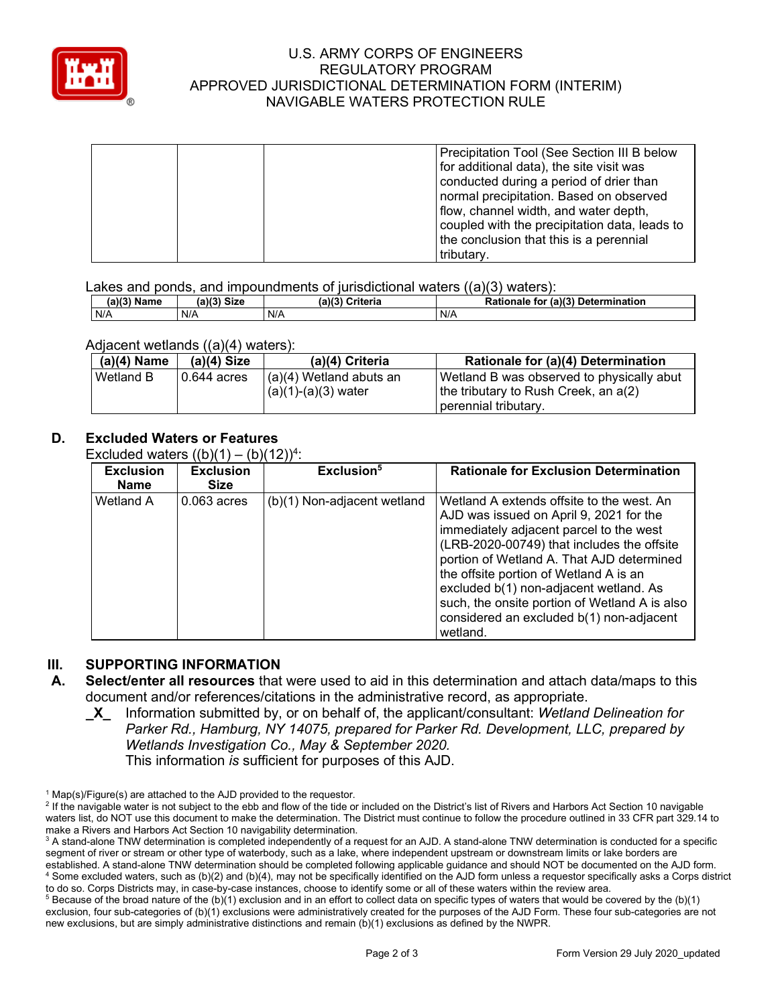

### U.S. ARMY CORPS OF ENGINEERS REGULATORY PROGRAM APPROVED JURISDICTIONAL DETERMINATION FORM (INTERIM) NAVIGABLE WATERS PROTECTION RULE

|  | Precipitation Tool (See Section III B below   |
|--|-----------------------------------------------|
|  | for additional data), the site visit was      |
|  | conducted during a period of drier than       |
|  | normal precipitation. Based on observed       |
|  | flow, channel width, and water depth,         |
|  | coupled with the precipitation data, leads to |
|  | the conclusion that this is a perennial       |
|  | tributary.                                    |

Lakes and ponds, and impoundments of jurisdictional waters ((a)(3) waters):

| (a)(3) Name | $(11/3)$ Size | (a)(3)<br>Criteria | (a)(3)<br>Determination<br>Rationale<br>for |
|-------------|---------------|--------------------|---------------------------------------------|
| N/A         | N/A           | N/A                | N/A                                         |

#### Adjacent wetlands ((a)(4) waters):

| $(a)(4)$ Name | $(a)(4)$ Size | (a)(4) Criteria                 | Rationale for (a)(4) Determination        |
|---------------|---------------|---------------------------------|-------------------------------------------|
| Wetland B     | 10.644 acres  | $\vert$ (a)(4) Wetland abuts an | Wetland B was observed to physically abut |
|               |               | $(a)(1)-(a)(3)$ water           | the tributary to Rush Creek, an a(2)      |
|               |               |                                 | Tperennial tributary.                     |

# **D. Excluded Waters or Features**

Excluded waters  $((b)(1) - (b)(12))^4$ :

| <b>Exclusion</b><br>Name | <b>Exclusion</b><br><b>Size</b> | Exclusion <sup>5</sup>      | <b>Rationale for Exclusion Determination</b>                                                                                                                                                                                                                                                                                                                                                                            |
|--------------------------|---------------------------------|-----------------------------|-------------------------------------------------------------------------------------------------------------------------------------------------------------------------------------------------------------------------------------------------------------------------------------------------------------------------------------------------------------------------------------------------------------------------|
| Wetland A                | $0.063$ acres                   | (b)(1) Non-adjacent wetland | Wetland A extends offsite to the west. An<br>AJD was issued on April 9, 2021 for the<br>immediately adjacent parcel to the west<br>(LRB-2020-00749) that includes the offsite<br>portion of Wetland A. That AJD determined<br>the offsite portion of Wetland A is an<br>excluded b(1) non-adjacent wetland. As<br>such, the onsite portion of Wetland A is also<br>considered an excluded b(1) non-adjacent<br>wetland. |

#### **III. SUPPORTING INFORMATION**

- **A. Select/enter all resources** that were used to aid in this determination and attach data/maps to this document and/or references/citations in the administrative record, as appropriate.
	- **\_X\_** Information submitted by, or on behalf of, the applicant/consultant: *Wetland Delineation for Parker Rd., Hamburg, NY 14075, prepared for Parker Rd. Development, LLC, prepared by Wetlands Investigation Co., May & September 2020.* This information *is* sufficient for purposes of this AJD.

 $1$  Map(s)/Figure(s) are attached to the AJD provided to the requestor.

<sup>&</sup>lt;sup>2</sup> If the navigable water is not subject to the ebb and flow of the tide or included on the District's list of Rivers and Harbors Act Section 10 navigable waters list, do NOT use this document to make the determination. The District must continue to follow the procedure outlined in 33 CFR part 329.14 to make a Rivers and Harbors Act Section 10 navigability determination.

<sup>&</sup>lt;sup>3</sup> A stand-alone TNW determination is completed independently of a request for an AJD. A stand-alone TNW determination is conducted for a specific segment of river or stream or other type of waterbody, such as a lake, where independent upstream or downstream limits or lake borders are established. A stand-alone TNW determination should be completed following applicable guidance and should NOT be documented on the AJD form. <sup>4</sup> Some excluded waters, such as (b)(2) and (b)(4), may not be specifically identified on the AJD form unless a requestor specifically asks a Corps district to do so. Corps Districts may, in case-by-case instances, choose to identify some or all of these waters within the review area.

 $5$  Because of the broad nature of the (b)(1) exclusion and in an effort to collect data on specific types of waters that would be covered by the (b)(1) exclusion, four sub-categories of (b)(1) exclusions were administratively created for the purposes of the AJD Form. These four sub-categories are not new exclusions, but are simply administrative distinctions and remain (b)(1) exclusions as defined by the NWPR.